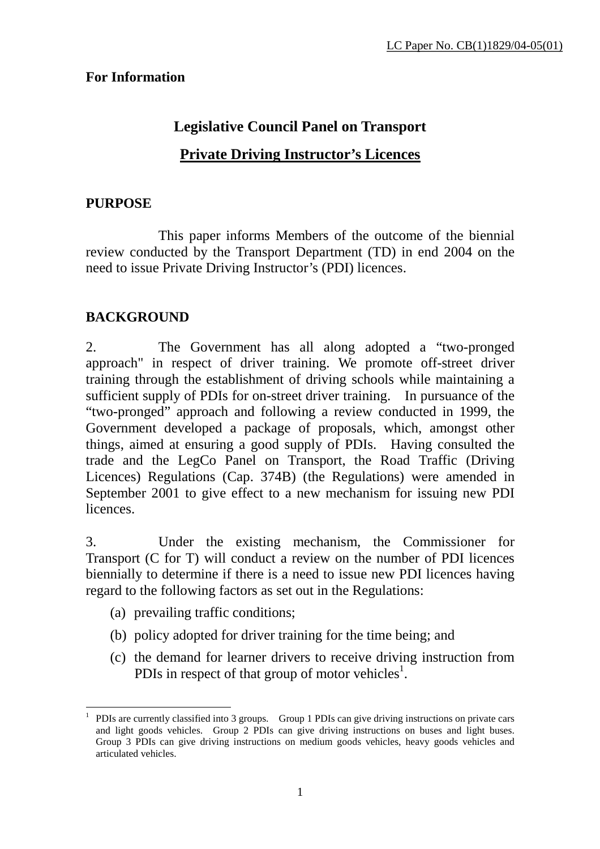#### **For Information**

# **Legislative Council Panel on Transport Private Driving Instructor's Licences**

#### **PURPOSE**

This paper informs Members of the outcome of the biennial review conducted by the Transport Department (TD) in end 2004 on the need to issue Private Driving Instructor's (PDI) licences.

### **BACKGROUND**

2. The Government has all along adopted a "two-pronged approach" in respect of driver training. We promote off-street driver training through the establishment of driving schools while maintaining a sufficient supply of PDIs for on-street driver training. In pursuance of the "two-pronged" approach and following a review conducted in 1999, the Government developed a package of proposals, which, amongst other things, aimed at ensuring a good supply of PDIs. Having consulted the trade and the LegCo Panel on Transport, the Road Traffic (Driving Licences) Regulations (Cap. 374B) (the Regulations) were amended in September 2001 to give effect to a new mechanism for issuing new PDI licences.

3. Under the existing mechanism, the Commissioner for Transport (C for T) will conduct a review on the number of PDI licences biennially to determine if there is a need to issue new PDI licences having regard to the following factors as set out in the Regulations:

- (a) prevailing traffic conditions;
- (b) policy adopted for driver training for the time being; and
- (c) the demand for learner drivers to receive driving instruction from PDIs in respect of that group of motor vehicles<sup>1</sup>.

 $\overline{a}$ 1 PDIs are currently classified into 3 groups. Group 1 PDIs can give driving instructions on private cars and light goods vehicles. Group 2 PDIs can give driving instructions on buses and light buses. Group 3 PDIs can give driving instructions on medium goods vehicles, heavy goods vehicles and articulated vehicles.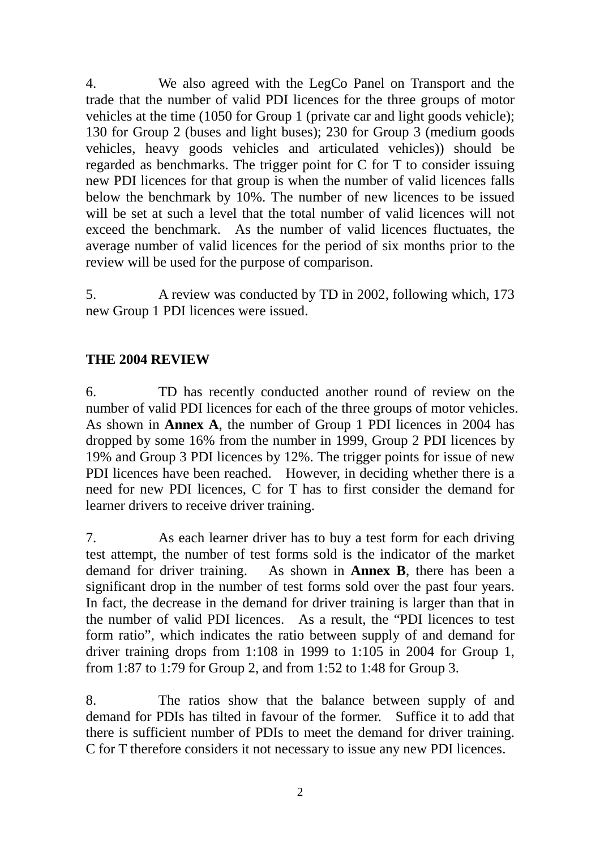4. We also agreed with the LegCo Panel on Transport and the trade that the number of valid PDI licences for the three groups of motor vehicles at the time (1050 for Group 1 (private car and light goods vehicle); 130 for Group 2 (buses and light buses); 230 for Group 3 (medium goods vehicles, heavy goods vehicles and articulated vehicles)) should be regarded as benchmarks. The trigger point for C for T to consider issuing new PDI licences for that group is when the number of valid licences falls below the benchmark by 10%. The number of new licences to be issued will be set at such a level that the total number of valid licences will not exceed the benchmark. As the number of valid licences fluctuates, the average number of valid licences for the period of six months prior to the review will be used for the purpose of comparison.

5. A review was conducted by TD in 2002, following which, 173 new Group 1 PDI licences were issued.

### **THE 2004 REVIEW**

6. TD has recently conducted another round of review on the number of valid PDI licences for each of the three groups of motor vehicles. As shown in **Annex A**, the number of Group 1 PDI licences in 2004 has dropped by some 16% from the number in 1999, Group 2 PDI licences by 19% and Group 3 PDI licences by 12%. The trigger points for issue of new PDI licences have been reached. However, in deciding whether there is a need for new PDI licences, C for T has to first consider the demand for learner drivers to receive driver training.

7. As each learner driver has to buy a test form for each driving test attempt, the number of test forms sold is the indicator of the market demand for driver training. As shown in **Annex B**, there has been a significant drop in the number of test forms sold over the past four years. In fact, the decrease in the demand for driver training is larger than that in the number of valid PDI licences. As a result, the "PDI licences to test form ratio", which indicates the ratio between supply of and demand for driver training drops from 1:108 in 1999 to 1:105 in 2004 for Group 1, from 1:87 to 1:79 for Group 2, and from 1:52 to 1:48 for Group 3.

8. The ratios show that the balance between supply of and demand for PDIs has tilted in favour of the former. Suffice it to add that there is sufficient number of PDIs to meet the demand for driver training. C for T therefore considers it not necessary to issue any new PDI licences.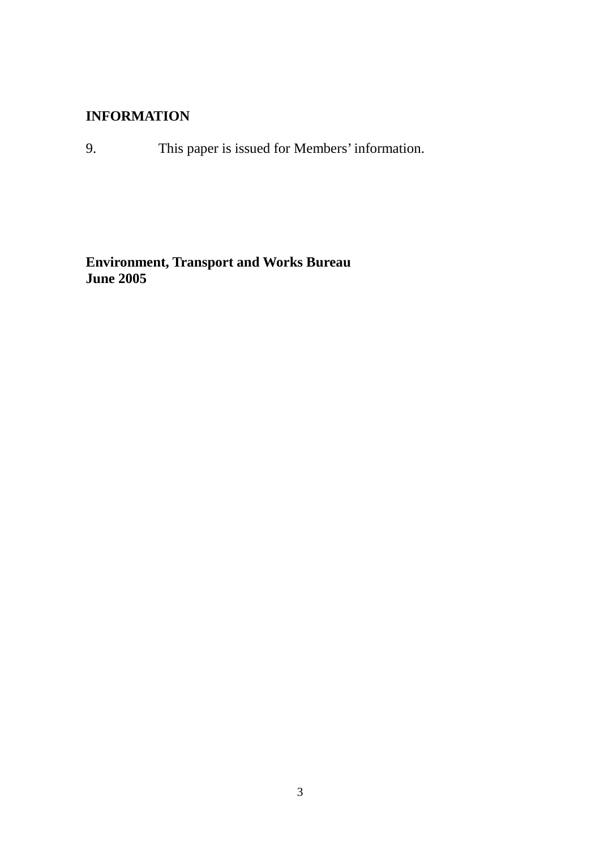#### **INFORMATION**

9. This paper is issued for Members' information.

**Environment, Transport and Works Bureau June 2005**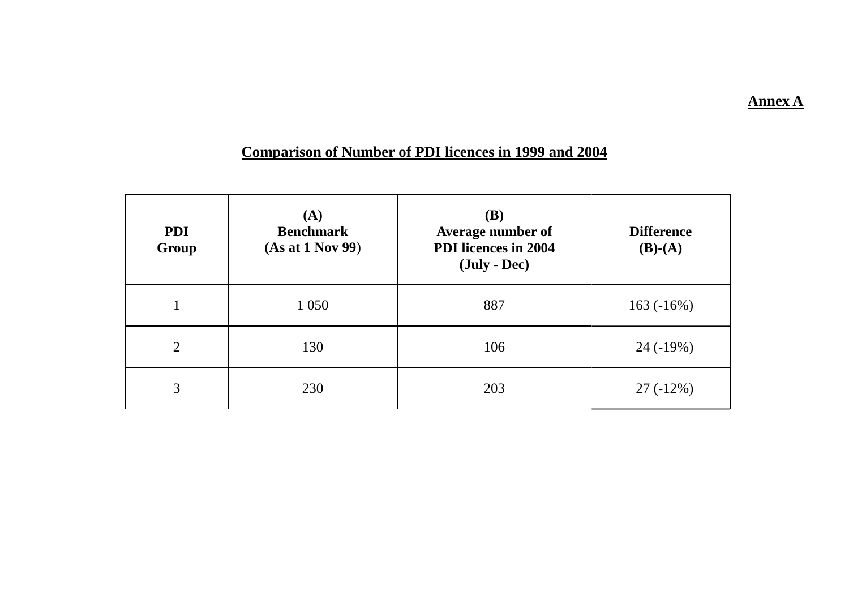#### **Annex A**

## **Comparison of Number of PDI licences in 1999 and 2004**

| <b>PDI</b><br>Group | (A)<br><b>Benchmark</b><br>(As at 1 Nov 99) | <b>(B)</b><br>Average number of<br><b>PDI</b> licences in 2004<br>$(\text{July} - \text{Dec})$ | <b>Difference</b><br>$(B)-(A)$ |  |
|---------------------|---------------------------------------------|------------------------------------------------------------------------------------------------|--------------------------------|--|
|                     | 1 0 5 0                                     | 887                                                                                            | $163(-16%)$                    |  |
| $\overline{2}$      | 130                                         | 106                                                                                            | $24(-19%)$                     |  |
| 3                   | 230                                         | 203                                                                                            | $27(-12\%)$                    |  |